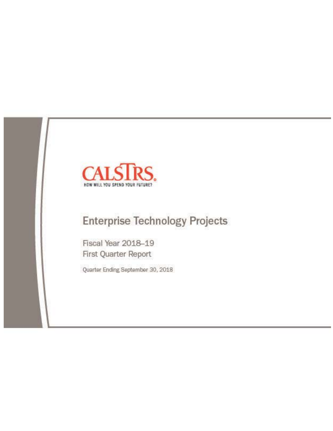

# **Enterprise Technology Projects**

Fiscal Year 2018-19 First Quarter Report

Quarter Ending September 30, 2018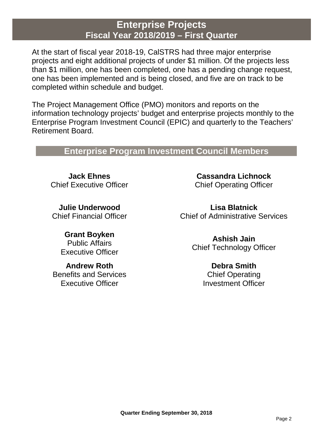## **Enterprise Projects Fiscal Year 2018/2019 – First Quarter**

At the start of fiscal year 2018-19, CalSTRS had three major enterprise projects and eight additional projects of under \$1 million. Of the projects less than \$1 million, one has been completed, one has a pending change request, one has been implemented and is being closed, and five are on track to be completed within schedule and budget.

The Project Management Office (PMO) monitors and reports on the information technology projects' budget and enterprise projects monthly to the Enterprise Program Investment Council (EPIC) and quarterly to the Teachers' Retirement Board.

## **Enterprise Program Investment Council Members**

**Jack Ehnes** Chief Executive Officer

**Julie Underwood** Chief Financial Officer

> **Grant Boyken** Public Affairs Executive Officer

**Andrew Roth** Benefits and Services Executive Officer

**Cassandra Lichnock** Chief Operating Officer

**Lisa Blatnick** Chief of Administrative Services

> **Ashish Jain** Chief Technology Officer

> > **Debra Smith** Chief Operating Investment Officer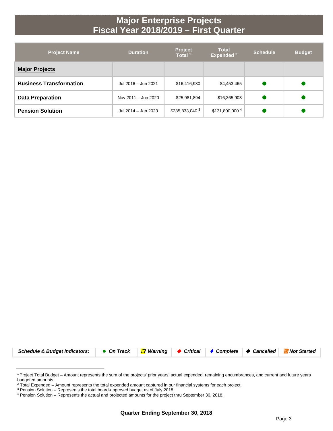## **Major Enterprise Projects Fiscal Year 2018/2019 – First Quarter**

| <b>Project Name</b>            | <b>Duration</b>     | <b>Project</b><br>Total <sup>1</sup> | <b>Total</b><br>Expended <sup>2</sup> | <b>Schedule</b> | <b>Budget</b> |
|--------------------------------|---------------------|--------------------------------------|---------------------------------------|-----------------|---------------|
| <b>Major Projects</b>          |                     |                                      |                                       |                 |               |
| <b>Business Transformation</b> | Jul 2016 - Jun 2021 | \$16,416,930                         | \$4,453,465                           |                 |               |
| <b>Data Preparation</b>        | Nov 2011 - Jun 2020 | \$25,981,894                         | \$16,365,903                          |                 |               |
| <b>Pension Solution</b>        | Jul 2014 - Jan 2023 | \$285,833,040 3                      | \$131,800,000 4                       |                 |               |



<sup>1</sup> Project Total Budget – Amount represents the sum of the projects' prior years' actual expended, remaining encumbrances, and current and future years budgeted amounts.

<sup>&</sup>lt;sup>2</sup> Total Expended – Amount represents the total expended amount captured in our financial systems for each project.

<sup>&</sup>lt;sup>3</sup> Pension Solution – Represents the total board-approved budget as of July 2018.

<sup>4</sup> Pension Solution – Represents the actual and projected amounts for the project thru September 30, 2018.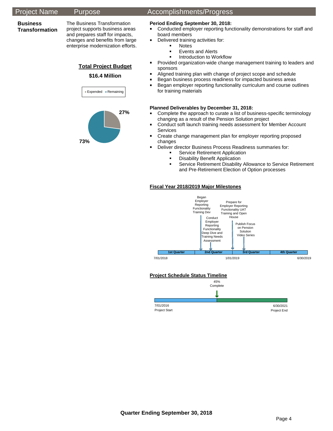### **Business Transformation**

The Business Transformation project supports business areas and prepares staff for impacts, changes and benefits from large enterprise modernization efforts.

## **Total Project Budget \$16.4 Million**



**73%**

## Project Name Purpose Accomplishments/Progress

## **Period Ending September 30, 2018:**

- **•** Conducted employer reporting functionality demonstrations for staff and board members
- Delivered training activities for:
	- Notes
	- **Events and Alerts**
	- **Introduction to Workflow**
- **Provided organization-wide change management training to leaders and** sponsors
- Aligned training plan with change of project scope and schedule
- **Began business process readiness for impacted business areas**
- **Began employer reporting functionality curriculum and course outlines** for training materials

## **Planned Deliverables by December 31, 2018:**

- **Complete the approach to curate a list of business-specific terminology** changing as a result of the Pension Solution project
- Conduct soft launch training needs assessment for Member Account Services
- **EXP** Create change management plan for employer reporting proposed changes
- **Deliver director Business Process Readiness summaries for:** 
	- Service Retirement Application
	- **Disability Benefit Application**<br>**Bervice Retirement Disability**
	- Service Retirement Disability Allowance to Service Retirement and Pre-Retirement Election of Option processes

## **Fiscal Year 2018/2019 Major Milestones**



## **Project Schedule Status Timeline**

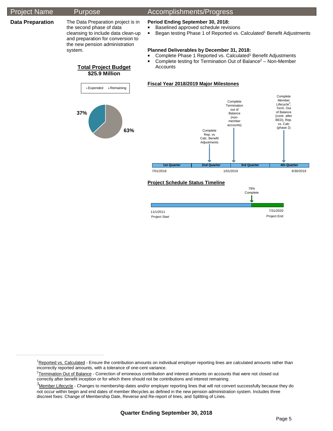**Data Preparation** The Data Preparation project is in the second phase of data cleansing to include data clean-up and preparation for conversion to the new pension administration system.

## Project Name Purpose Accomplishments/Progress

## **Period Ending September 30, 2018:**

- Baselined approved schedule revisions
- Began testing Phase 1 of Reported vs. Calculated<sup>1</sup> Benefit Adjustments

### **Planned Deliverables by December 31, 2018:**

- Complete Phase 1 Reported vs. Calculated<sup>1</sup> Benefit Adjustments
- **Complete testing for Termination Out of Balance<sup>2</sup> Non-Member**
- **Total Project Budget \$25.9 Million Accounts**

## **Fiscal Year 2018/2019 Major Milestones**



Project Start Project End

<sup>1</sup>Reported vs. Calculated - Ensure the contribution amounts on individual employer reporting lines are calculated amounts rather than incorrectly reported amounts, with a tolerance of one-cent variance.

11/1/2011

7/31/2020

<sup>&</sup>lt;sup>2</sup>Termination Out of Balance - Correction of erroneous contribution and interest amounts on accounts that were not closed out correctly after benefit inception or for which there should not be contributions and interest remaining.

 $^3$ Member Lifecycle - Changes to membership dates and/or employer reporting lines that will not convert successfully because they do not occur within begin and end dates of member lifecycles as defined in the new pension administration system. Includes three discreet fixes: Change of Membership Date, Reverse and Re-report of lines, and Splitting of Lines.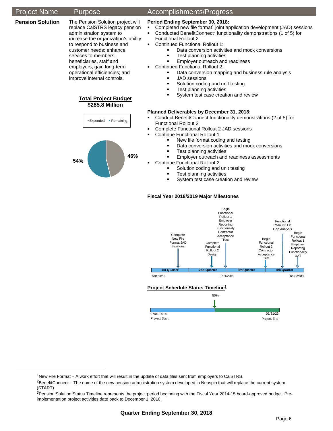### **Pension Solution** The Pension Solution project will

replace CalSTRS legacy pension administration system to increase the organization's ability to respond to business and customer needs; enhance services to members, beneficiaries, staff and employers; gain long-term operational efficiencies; and improve internal controls.





## Project Name Purpose Accomplishments/Progress

### **Period Ending September 30, 2018:**

- Completed new file format<sup>1</sup> joint application development (JAD) sessions
- Conducted BenefitConnect<sup>2</sup> functionality demonstrations (1 of 5) for
- Functional Rollout 2
- **Continued Functional Rollout 1:** 
	- Data conversion activities and mock conversions
	- Test planning activities
	- Employer outreach and readiness
- **Continued Functional Rollout 2:** 
	- Data conversion mapping and business rule analysis
	- JAD sessions
	- **Solution coding and unit testing**
	- Test planning activities
	- System test case creation and review

### **Planned Deliverables by December 31, 2018:**

- Conduct BenefitConnect functionality demonstrations (2 of 5) for Functional Rollout 2
- **Complete Functional Rollout 2 JAD sessions**
- **Continue Functional Rollout 1:** 
	- New file format coding and testing
	- Data conversion activities and mock conversions
	- Test planning activities
	- Employer outreach and readiness assessments
- **Continue Functional Rollout 2:** 
	- Solution coding and unit testing
	- Test planning activities
	- System test case creation and review

### **Fiscal Year 2018/2019 Major Milestones**



Project Start

Project End

 $1$ New File Format – A work effort that will result in the update of data files sent from employers to CalSTRS.

 ${}^{2}$ BenefitConnect – The name of the new pension administration system developed in Neospin that will replace the current system (START).

<sup>&</sup>lt;sup>3</sup>Pension Solution Status Timeline represents the project period beginning with the Fiscal Year 2014-15 board-approved budget. Preimplementation project activities date back to December 1, 2010.